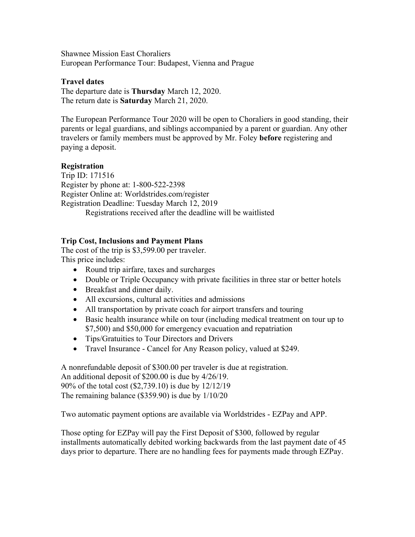Shawnee Mission East Choraliers European Performance Tour: Budapest, Vienna and Prague

### **Travel dates**

The departure date is **Thursday** March 12, 2020. The return date is **Saturday** March 21, 2020.

The European Performance Tour 2020 will be open to Choraliers in good standing, their parents or legal guardians, and siblings accompanied by a parent or guardian. Any other travelers or family members must be approved by Mr. Foley **before** registering and paying a deposit.

# **Registration**

Trip ID: 171516 Register by phone at: 1-800-522-2398 Register Online at: Worldstrides.com/register Registration Deadline: Tuesday March 12, 2019 Registrations received after the deadline will be waitlisted

# **Trip Cost, Inclusions and Payment Plans**

The cost of the trip is \$3,599.00 per traveler. This price includes:

- Round trip airfare, taxes and surcharges
- Double or Triple Occupancy with private facilities in three star or better hotels
- Breakfast and dinner daily.
- All excursions, cultural activities and admissions
- All transportation by private coach for airport transfers and touring
- Basic health insurance while on tour (including medical treatment on tour up to \$7,500) and \$50,000 for emergency evacuation and repatriation
- Tips/Gratuities to Tour Directors and Drivers
- Travel Insurance Cancel for Any Reason policy, valued at \$249.

A nonrefundable deposit of \$300.00 per traveler is due at registration. An additional deposit of \$200.00 is due by 4/26/19. 90% of the total cost (\$2,739.10) is due by 12/12/19 The remaining balance (\$359.90) is due by 1/10/20

Two automatic payment options are available via Worldstrides - EZPay and APP.

Those opting for EZPay will pay the First Deposit of \$300, followed by regular installments automatically debited working backwards from the last payment date of 45 days prior to departure. There are no handling fees for payments made through EZPay.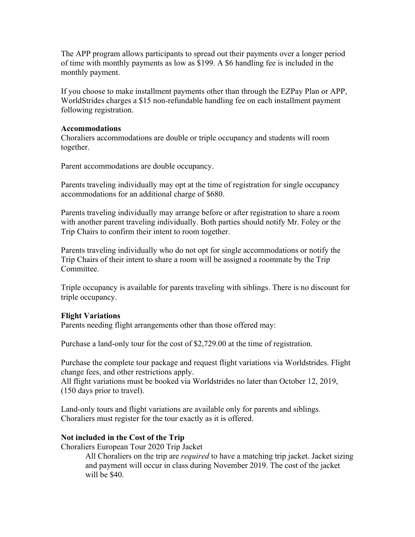The APP program allows participants to spread out their payments over a longer period of time with monthly payments as low as \$199. A \$6 handling fee is included in the monthly payment.

If you choose to make installment payments other than through the EZPay Plan or APP, WorldStrides charges a \$15 non-refundable handling fee on each installment payment following registration.

#### **Accommodations**

Choraliers accommodations are double or triple occupancy and students will room together.

Parent accommodations are double occupancy.

Parents traveling individually may opt at the time of registration for single occupancy accommodations for an additional charge of \$680.

Parents traveling individually may arrange before or after registration to share a room with another parent traveling individually. Both parties should notify Mr. Foley or the Trip Chairs to confirm their intent to room together.

Parents traveling individually who do not opt for single accommodations or notify the Trip Chairs of their intent to share a room will be assigned a roommate by the Trip **Committee** 

Triple occupancy is available for parents traveling with siblings. There is no discount for triple occupancy.

### **Flight Variations**

Parents needing flight arrangements other than those offered may:

Purchase a land-only tour for the cost of \$2,729.00 at the time of registration.

Purchase the complete tour package and request flight variations via Worldstrides. Flight change fees, and other restrictions apply.

All flight variations must be booked via Worldstrides no later than October 12, 2019, (150 days prior to travel).

Land-only tours and flight variations are available only for parents and siblings. Choraliers must register for the tour exactly as it is offered.

### **Not included in the Cost of the Trip**

Choraliers European Tour 2020 Trip Jacket

All Choraliers on the trip are *required* to have a matching trip jacket. Jacket sizing and payment will occur in class during November 2019. The cost of the jacket will be \$40